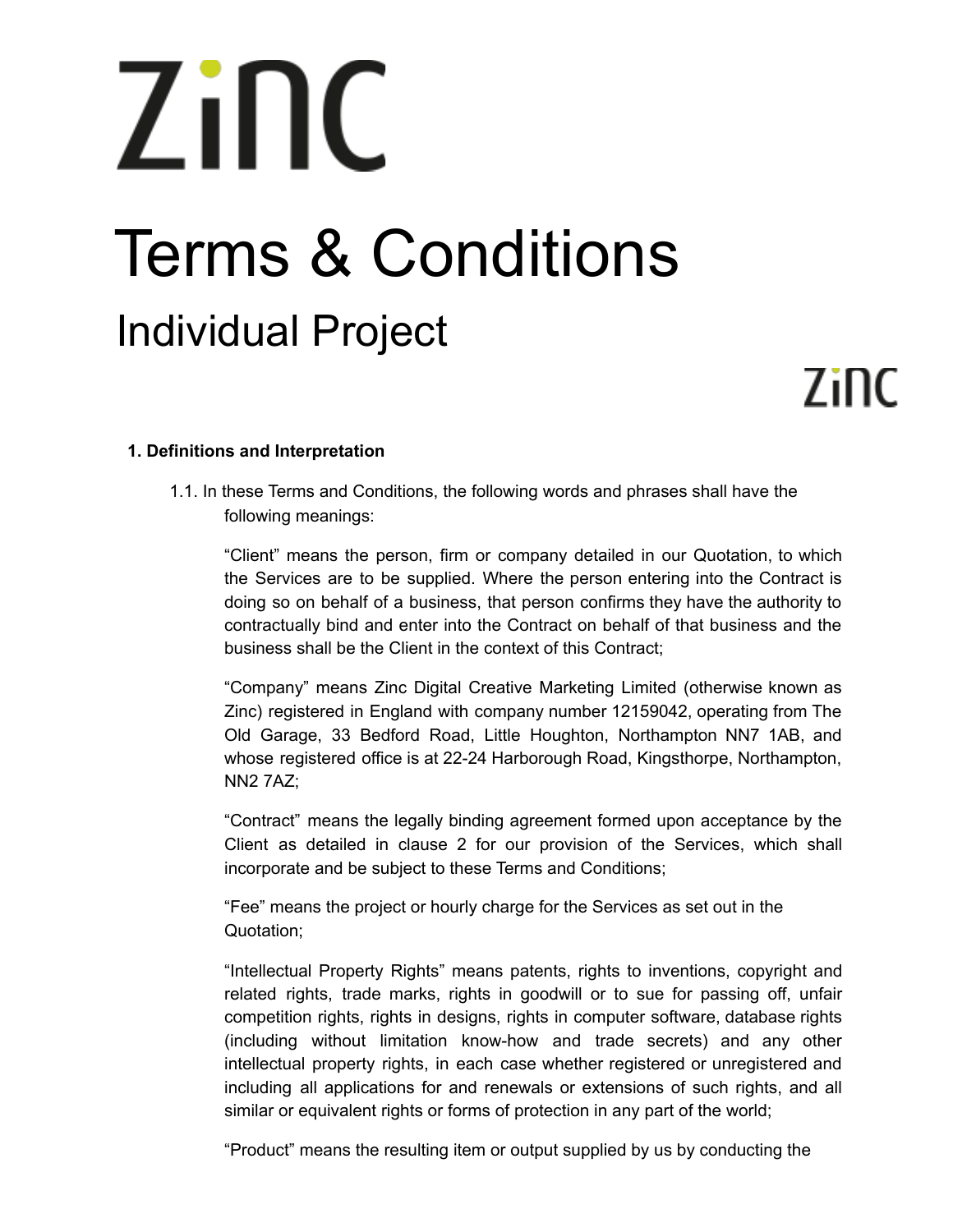# Zinc Terms & Conditions Individual Project

# Zinc

# **1. Definitions and Interpretation**

1.1. In these Terms and Conditions, the following words and phrases shall have the following meanings:

"Client" means the person, firm or company detailed in our Quotation, to which the Services are to be supplied. Where the person entering into the Contract is doing so on behalf of a business, that person confirms they have the authority to contractually bind and enter into the Contract on behalf of that business and the business shall be the Client in the context of this Contract;

"Company" means Zinc Digital Creative Marketing Limited (otherwise known as Zinc) registered in England with company number 12159042, operating from The Old Garage, 33 Bedford Road, Little Houghton, Northampton NN7 1AB, and whose registered office is at 22-24 Harborough Road, Kingsthorpe, Northampton, NN2 7AZ;

"Contract" means the legally binding agreement formed upon acceptance by the Client as detailed in clause 2 for our provision of the Services, which shall incorporate and be subject to these Terms and Conditions;

"Fee" means the project or hourly charge for the Services as set out in the Quotation;

"Intellectual Property Rights" means patents, rights to inventions, copyright and related rights, trade marks, rights in goodwill or to sue for passing off, unfair competition rights, rights in designs, rights in computer software, database rights (including without limitation know-how and trade secrets) and any other intellectual property rights, in each case whether registered or unregistered and including all applications for and renewals or extensions of such rights, and all similar or equivalent rights or forms of protection in any part of the world;

"Product" means the resulting item or output supplied by us by conducting the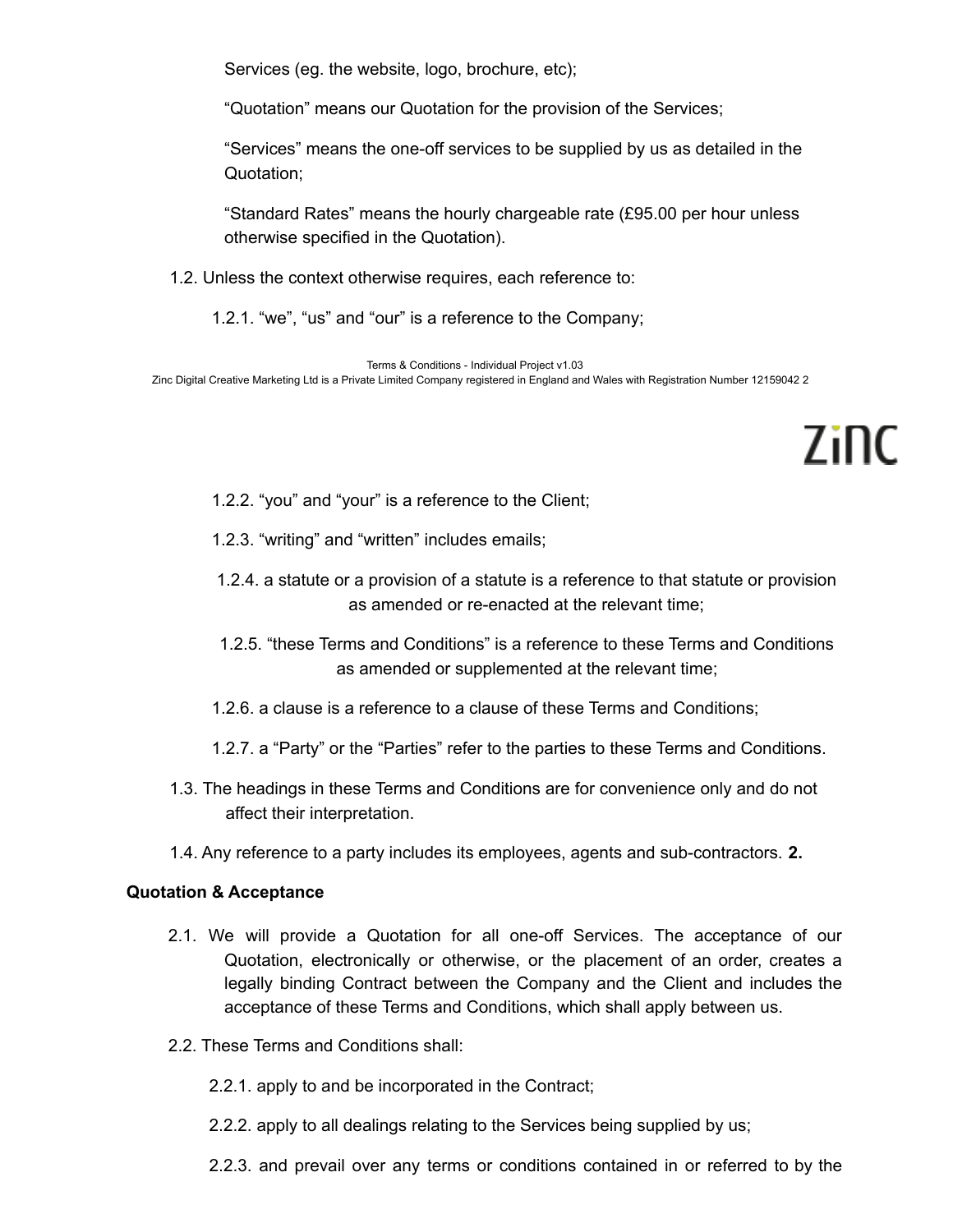Services (eg. the website, logo, brochure, etc);

"Quotation" means our Quotation for the provision of the Services;

"Services" means the one-off services to be supplied by us as detailed in the Quotation;

"Standard Rates" means the hourly chargeable rate (£95.00 per hour unless otherwise specified in the Quotation).

- 1.2. Unless the context otherwise requires, each reference to:
	- 1.2.1. "we", "us" and "our" is a reference to the Company;

Terms & Conditions - Individual Project v1.03 Zinc Digital Creative Marketing Ltd is a Private Limited Company registered in England and Wales with Registration Number 12159042 2

7inc

- 1.2.2. "you" and "your" is a reference to the Client;
- 1.2.3. "writing" and "written" includes emails;
- 1.2.4. a statute or a provision of a statute is a reference to that statute or provision as amended or re-enacted at the relevant time;
- 1.2.5. "these Terms and Conditions" is a reference to these Terms and Conditions as amended or supplemented at the relevant time;
- 1.2.6. a clause is a reference to a clause of these Terms and Conditions;
- 1.2.7. a "Party" or the "Parties" refer to the parties to these Terms and Conditions.
- 1.3. The headings in these Terms and Conditions are for convenience only and do not affect their interpretation.
- 1.4. Any reference to a party includes its employees, agents and sub-contractors. **2.**

## **Quotation & Acceptance**

- 2.1. We will provide a Quotation for all one-off Services. The acceptance of our Quotation, electronically or otherwise, or the placement of an order, creates a legally binding Contract between the Company and the Client and includes the acceptance of these Terms and Conditions, which shall apply between us.
- 2.2. These Terms and Conditions shall:
	- 2.2.1. apply to and be incorporated in the Contract;
	- 2.2.2. apply to all dealings relating to the Services being supplied by us;
	- 2.2.3. and prevail over any terms or conditions contained in or referred to by the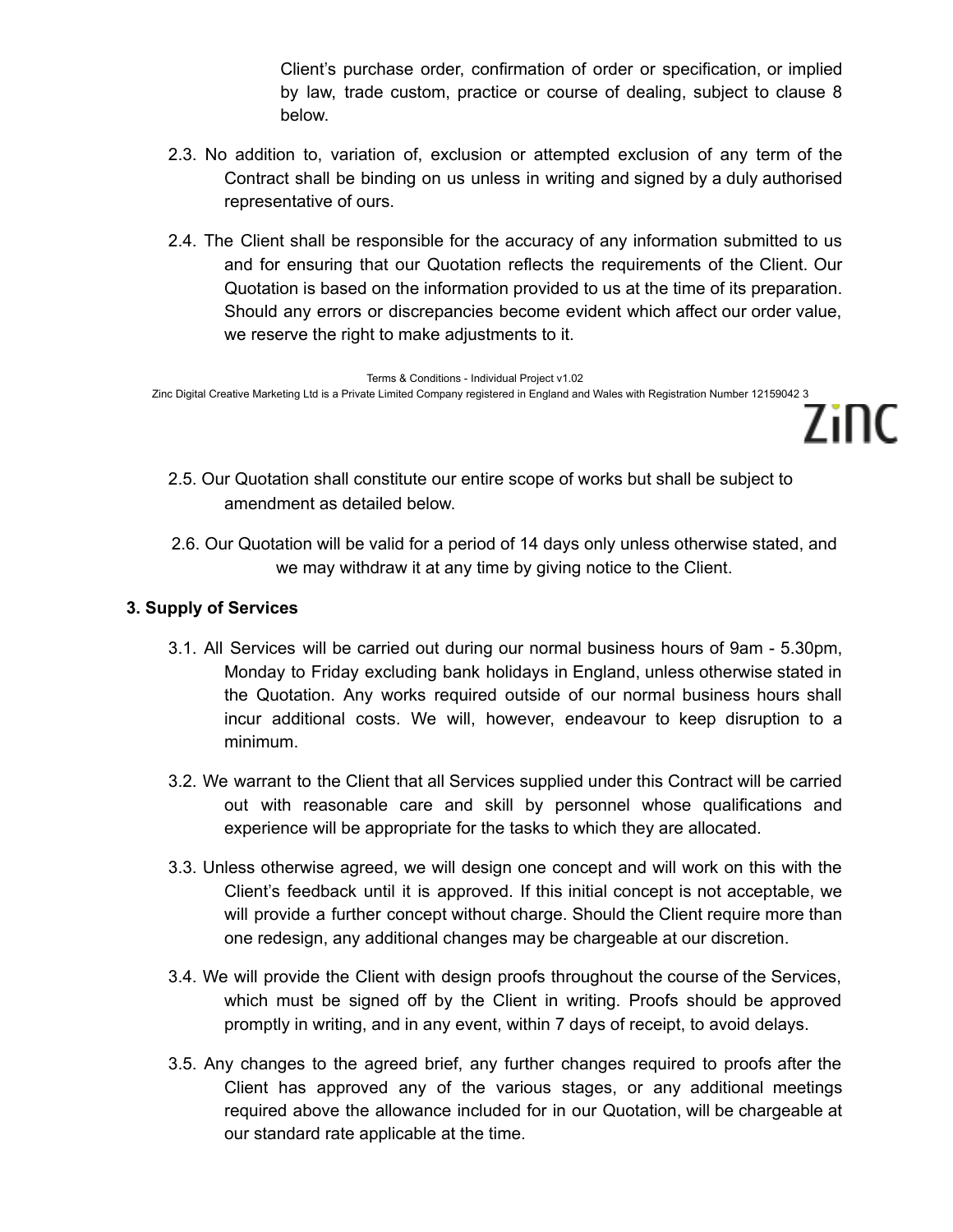Client's purchase order, confirmation of order or specification, or implied by law, trade custom, practice or course of dealing, subject to clause 8 below.

7inc

- 2.3. No addition to, variation of, exclusion or attempted exclusion of any term of the Contract shall be binding on us unless in writing and signed by a duly authorised representative of ours.
- 2.4. The Client shall be responsible for the accuracy of any information submitted to us and for ensuring that our Quotation reflects the requirements of the Client. Our Quotation is based on the information provided to us at the time of its preparation. Should any errors or discrepancies become evident which affect our order value, we reserve the right to make adjustments to it.

Terms & Conditions - Individual Project v1.02 Zinc Digital Creative Marketing Ltd is a Private Limited Company registered in England and Wales with Registration Number 12159042 3

- 2.5. Our Quotation shall constitute our entire scope of works but shall be subject to amendment as detailed below.
- 2.6. Our Quotation will be valid for a period of 14 days only unless otherwise stated, and we may withdraw it at any time by giving notice to the Client.

# **3. Supply of Services**

- 3.1. All Services will be carried out during our normal business hours of 9am 5.30pm, Monday to Friday excluding bank holidays in England, unless otherwise stated in the Quotation. Any works required outside of our normal business hours shall incur additional costs. We will, however, endeavour to keep disruption to a minimum.
- 3.2. We warrant to the Client that all Services supplied under this Contract will be carried out with reasonable care and skill by personnel whose qualifications and experience will be appropriate for the tasks to which they are allocated.
- 3.3. Unless otherwise agreed, we will design one concept and will work on this with the Client's feedback until it is approved. If this initial concept is not acceptable, we will provide a further concept without charge. Should the Client require more than one redesign, any additional changes may be chargeable at our discretion.
- 3.4. We will provide the Client with design proofs throughout the course of the Services, which must be signed off by the Client in writing. Proofs should be approved promptly in writing, and in any event, within 7 days of receipt, to avoid delays.
- 3.5. Any changes to the agreed brief, any further changes required to proofs after the Client has approved any of the various stages, or any additional meetings required above the allowance included for in our Quotation, will be chargeable at our standard rate applicable at the time.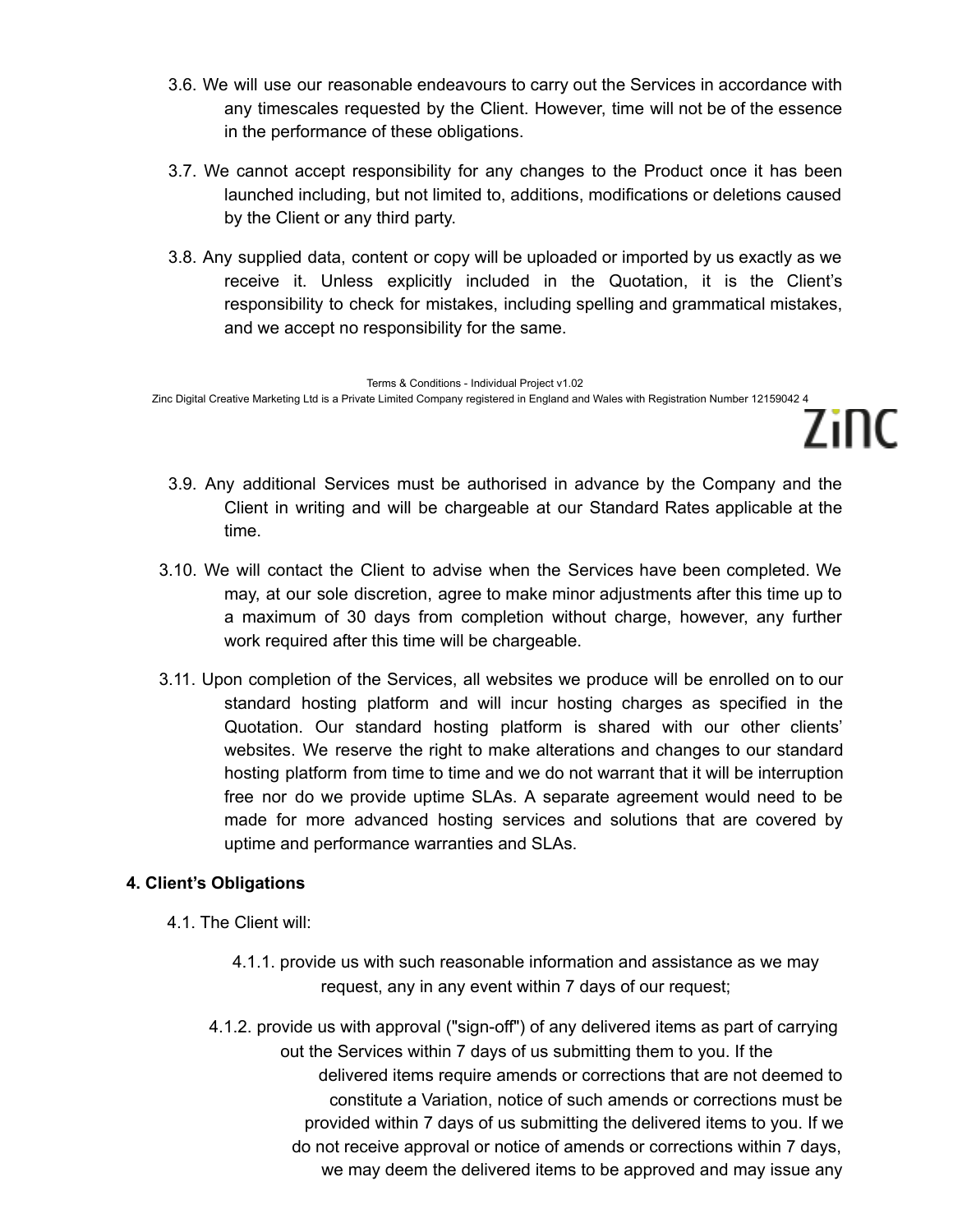- 3.6. We will use our reasonable endeavours to carry out the Services in accordance with any timescales requested by the Client. However, time will not be of the essence in the performance of these obligations.
- 3.7. We cannot accept responsibility for any changes to the Product once it has been launched including, but not limited to, additions, modifications or deletions caused by the Client or any third party.
- 3.8. Any supplied data, content or copy will be uploaded or imported by us exactly as we receive it. Unless explicitly included in the Quotation, it is the Client's responsibility to check for mistakes, including spelling and grammatical mistakes, and we accept no responsibility for the same.

Terms & Conditions - Individual Project v1.02 Zinc Digital Creative Marketing Ltd is a Private Limited Company registered in England and Wales with Registration Number 12159042 4

3.9. Any additional Services must be authorised in advance by the Company and the Client in writing and will be chargeable at our Standard Rates applicable at the time.

7inc

- 3.10. We will contact the Client to advise when the Services have been completed. We may, at our sole discretion, agree to make minor adjustments after this time up to a maximum of 30 days from completion without charge, however, any further work required after this time will be chargeable.
- 3.11. Upon completion of the Services, all websites we produce will be enrolled on to our standard hosting platform and will incur hosting charges as specified in the Quotation. Our standard hosting platform is shared with our other clients' websites. We reserve the right to make alterations and changes to our standard hosting platform from time to time and we do not warrant that it will be interruption free nor do we provide uptime SLAs. A separate agreement would need to be made for more advanced hosting services and solutions that are covered by uptime and performance warranties and SLAs.

# **4. Client's Obligations**

- 4.1. The Client will:
	- 4.1.1. provide us with such reasonable information and assistance as we may request, any in any event within 7 days of our request;
	- 4.1.2. provide us with approval ("sign-off") of any delivered items as part of carrying out the Services within 7 days of us submitting them to you. If the delivered items require amends or corrections that are not deemed to constitute a Variation, notice of such amends or corrections must be provided within 7 days of us submitting the delivered items to you. If we do not receive approval or notice of amends or corrections within 7 days, we may deem the delivered items to be approved and may issue any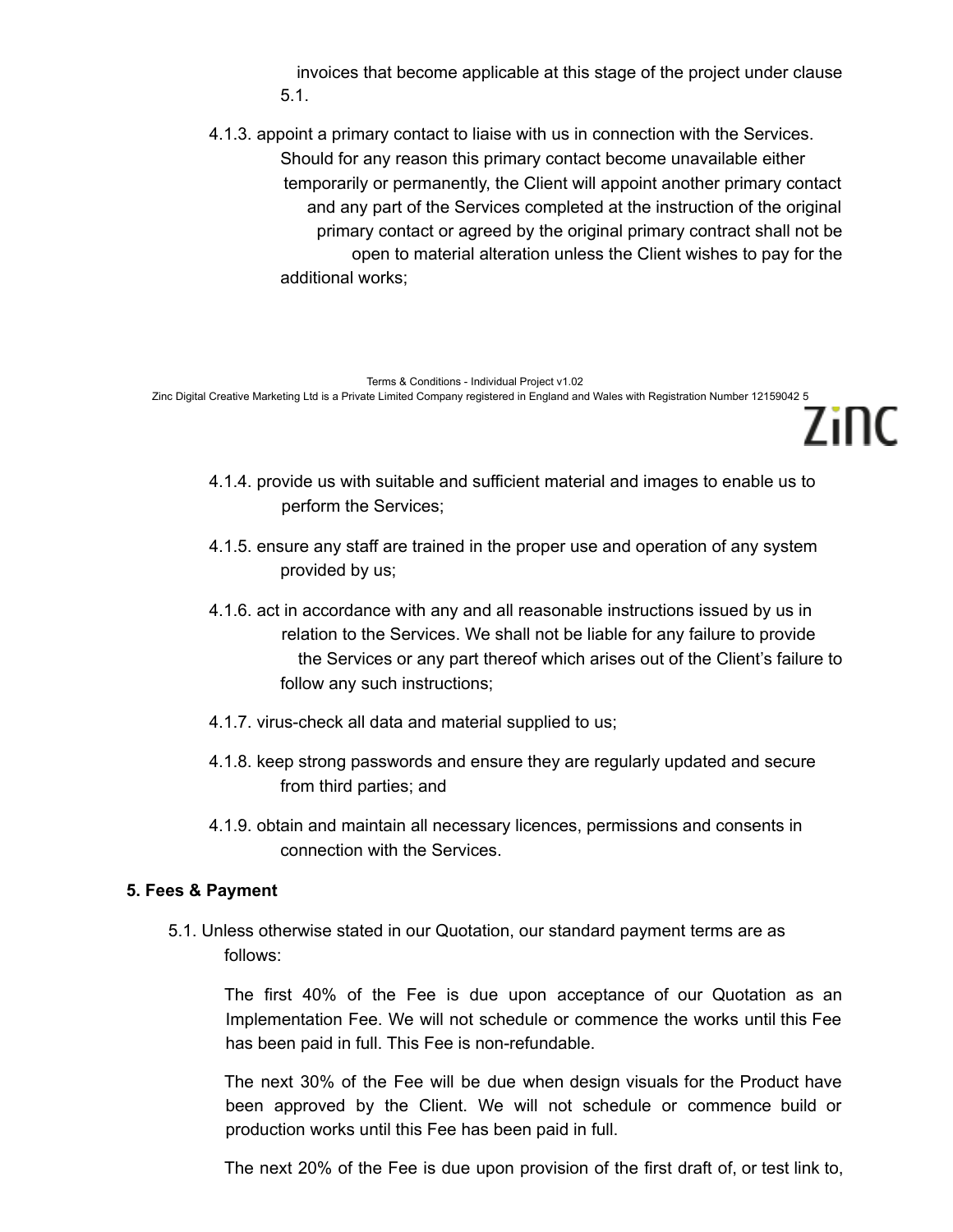invoices that become applicable at this stage of the project under clause 5.1.

4.1.3. appoint a primary contact to liaise with us in connection with the Services. Should for any reason this primary contact become unavailable either temporarily or permanently, the Client will appoint another primary contact and any part of the Services completed at the instruction of the original primary contact or agreed by the original primary contract shall not be open to material alteration unless the Client wishes to pay for the additional works;

Terms & Conditions - Individual Project v1.02 Zinc Digital Creative Marketing Ltd is a Private Limited Company registered in England and Wales with Registration Number 12159042 5

4.1.4. provide us with suitable and sufficient material and images to enable us to perform the Services;

7inc

- 4.1.5. ensure any staff are trained in the proper use and operation of any system provided by us;
- 4.1.6. act in accordance with any and all reasonable instructions issued by us in relation to the Services. We shall not be liable for any failure to provide the Services or any part thereof which arises out of the Client's failure to follow any such instructions;
- 4.1.7. virus-check all data and material supplied to us;
- 4.1.8. keep strong passwords and ensure they are regularly updated and secure from third parties; and
- 4.1.9. obtain and maintain all necessary licences, permissions and consents in connection with the Services.

## **5. Fees & Payment**

5.1. Unless otherwise stated in our Quotation, our standard payment terms are as follows:

The first 40% of the Fee is due upon acceptance of our Quotation as an Implementation Fee. We will not schedule or commence the works until this Fee has been paid in full. This Fee is non-refundable.

The next 30% of the Fee will be due when design visuals for the Product have been approved by the Client. We will not schedule or commence build or production works until this Fee has been paid in full.

The next 20% of the Fee is due upon provision of the first draft of, or test link to,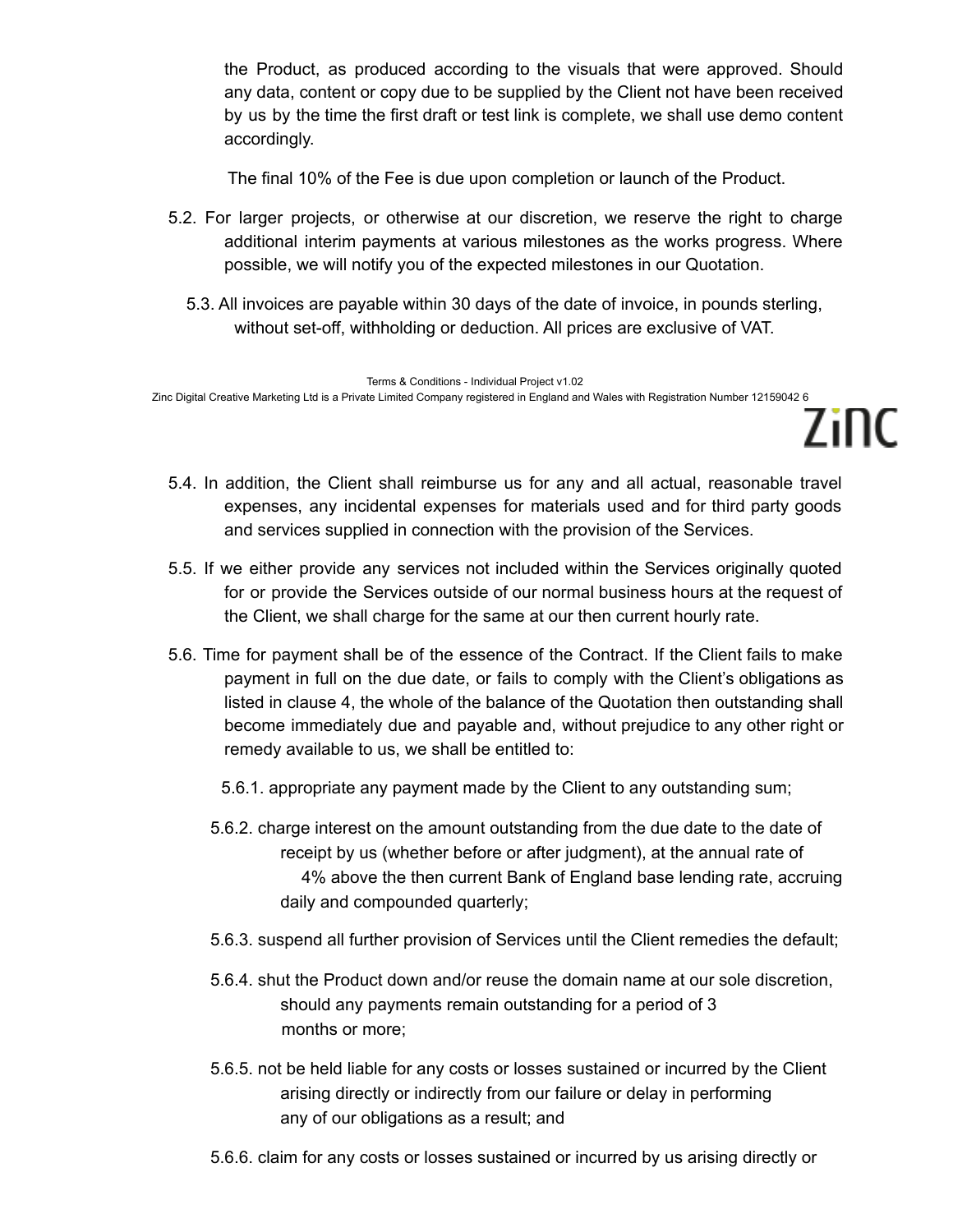the Product, as produced according to the visuals that were approved. Should any data, content or copy due to be supplied by the Client not have been received by us by the time the first draft or test link is complete, we shall use demo content accordingly.

The final 10% of the Fee is due upon completion or launch of the Product.

- 5.2. For larger projects, or otherwise at our discretion, we reserve the right to charge additional interim payments at various milestones as the works progress. Where possible, we will notify you of the expected milestones in our Quotation.
	- 5.3. All invoices are payable within 30 days of the date of invoice, in pounds sterling, without set-off, withholding or deduction. All prices are exclusive of VAT.

Terms & Conditions - Individual Project v1.02 Zinc Digital Creative Marketing Ltd is a Private Limited Company registered in England and Wales with Registration Number 12159042 6

5.4. In addition, the Client shall reimburse us for any and all actual, reasonable travel expenses, any incidental expenses for materials used and for third party goods and services supplied in connection with the provision of the Services.

7inc

- 5.5. If we either provide any services not included within the Services originally quoted for or provide the Services outside of our normal business hours at the request of the Client, we shall charge for the same at our then current hourly rate.
- 5.6. Time for payment shall be of the essence of the Contract. If the Client fails to make payment in full on the due date, or fails to comply with the Client's obligations as listed in clause 4, the whole of the balance of the Quotation then outstanding shall become immediately due and payable and, without prejudice to any other right or remedy available to us, we shall be entitled to:

5.6.1. appropriate any payment made by the Client to any outstanding sum;

- 5.6.2. charge interest on the amount outstanding from the due date to the date of receipt by us (whether before or after judgment), at the annual rate of 4% above the then current Bank of England base lending rate, accruing daily and compounded quarterly;
- 5.6.3. suspend all further provision of Services until the Client remedies the default;
- 5.6.4. shut the Product down and/or reuse the domain name at our sole discretion, should any payments remain outstanding for a period of 3 months or more;
- 5.6.5. not be held liable for any costs or losses sustained or incurred by the Client arising directly or indirectly from our failure or delay in performing any of our obligations as a result; and
- 5.6.6. claim for any costs or losses sustained or incurred by us arising directly or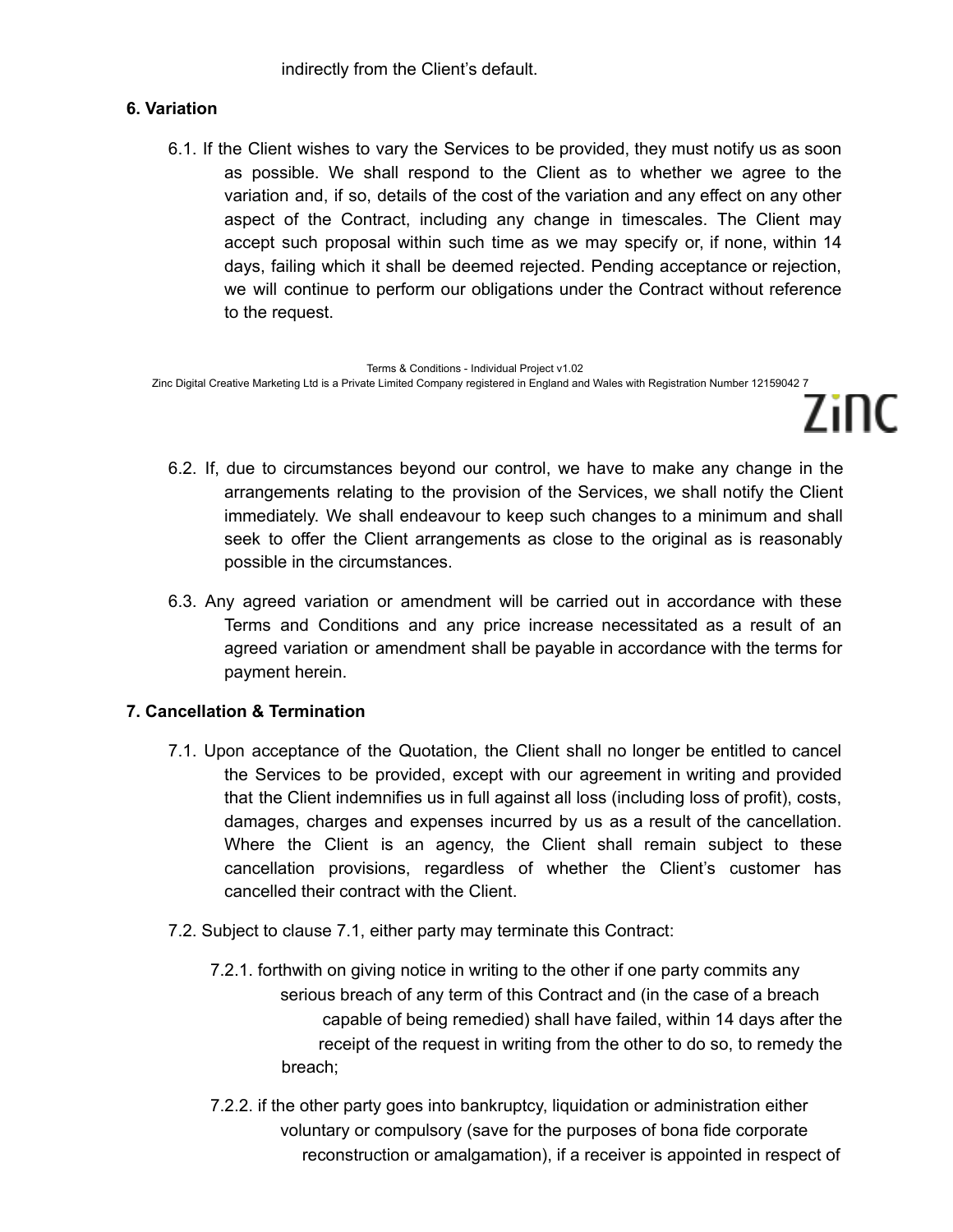indirectly from the Client's default.

# **6. Variation**

6.1. If the Client wishes to vary the Services to be provided, they must notify us as soon as possible. We shall respond to the Client as to whether we agree to the variation and, if so, details of the cost of the variation and any effect on any other aspect of the Contract, including any change in timescales. The Client may accept such proposal within such time as we may specify or, if none, within 14 days, failing which it shall be deemed rejected. Pending acceptance or rejection, we will continue to perform our obligations under the Contract without reference to the request.

Terms & Conditions - Individual Project v1.02 Zinc Digital Creative Marketing Ltd is a Private Limited Company registered in England and Wales with Registration Number 12159042 7

6.2. If, due to circumstances beyond our control, we have to make any change in the arrangements relating to the provision of the Services, we shall notify the Client immediately. We shall endeavour to keep such changes to a minimum and shall seek to offer the Client arrangements as close to the original as is reasonably possible in the circumstances.

Zinc

6.3. Any agreed variation or amendment will be carried out in accordance with these Terms and Conditions and any price increase necessitated as a result of an agreed variation or amendment shall be payable in accordance with the terms for payment herein.

# **7. Cancellation & Termination**

- 7.1. Upon acceptance of the Quotation, the Client shall no longer be entitled to cancel the Services to be provided, except with our agreement in writing and provided that the Client indemnifies us in full against all loss (including loss of profit), costs, damages, charges and expenses incurred by us as a result of the cancellation. Where the Client is an agency, the Client shall remain subject to these cancellation provisions, regardless of whether the Client's customer has cancelled their contract with the Client.
- 7.2. Subject to clause 7.1, either party may terminate this Contract:
	- 7.2.1. forthwith on giving notice in writing to the other if one party commits any serious breach of any term of this Contract and (in the case of a breach capable of being remedied) shall have failed, within 14 days after the receipt of the request in writing from the other to do so, to remedy the breach;
	- 7.2.2. if the other party goes into bankruptcy, liquidation or administration either voluntary or compulsory (save for the purposes of bona fide corporate reconstruction or amalgamation), if a receiver is appointed in respect of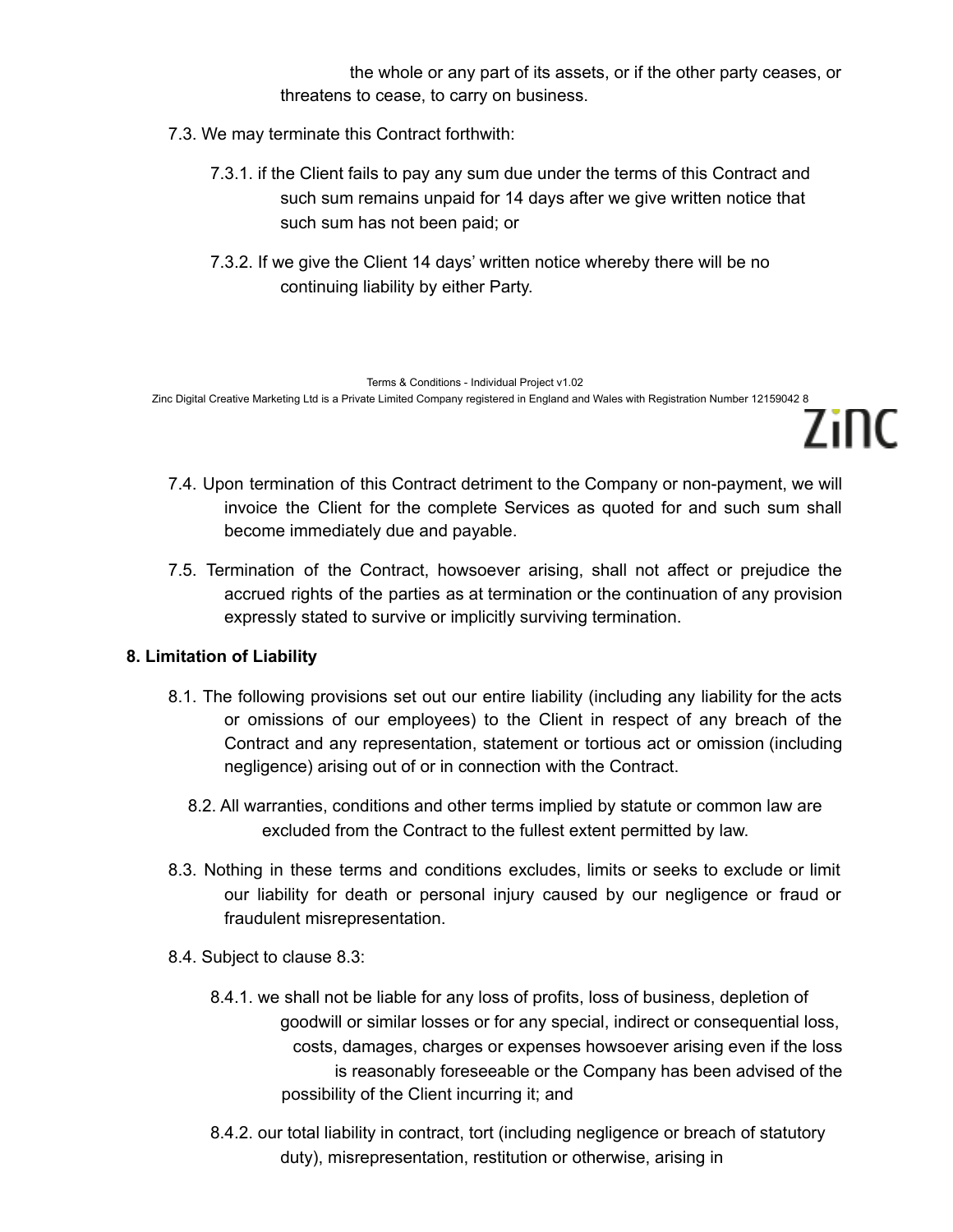the whole or any part of its assets, or if the other party ceases, or threatens to cease, to carry on business.

7inc

- 7.3. We may terminate this Contract forthwith:
	- 7.3.1. if the Client fails to pay any sum due under the terms of this Contract and such sum remains unpaid for 14 days after we give written notice that such sum has not been paid; or
	- 7.3.2. If we give the Client 14 days' written notice whereby there will be no continuing liability by either Party.

Terms & Conditions - Individual Project v1.02 Zinc Digital Creative Marketing Ltd is a Private Limited Company registered in England and Wales with Registration Number 12159042 8

- 7.4. Upon termination of this Contract detriment to the Company or non-payment, we will invoice the Client for the complete Services as quoted for and such sum shall become immediately due and payable.
- 7.5. Termination of the Contract, howsoever arising, shall not affect or prejudice the accrued rights of the parties as at termination or the continuation of any provision expressly stated to survive or implicitly surviving termination.

## **8. Limitation of Liability**

- 8.1. The following provisions set out our entire liability (including any liability for the acts or omissions of our employees) to the Client in respect of any breach of the Contract and any representation, statement or tortious act or omission (including negligence) arising out of or in connection with the Contract.
	- 8.2. All warranties, conditions and other terms implied by statute or common law are excluded from the Contract to the fullest extent permitted by law.
- 8.3. Nothing in these terms and conditions excludes, limits or seeks to exclude or limit our liability for death or personal injury caused by our negligence or fraud or fraudulent misrepresentation.
- 8.4. Subject to clause 8.3:
	- 8.4.1. we shall not be liable for any loss of profits, loss of business, depletion of goodwill or similar losses or for any special, indirect or consequential loss, costs, damages, charges or expenses howsoever arising even if the loss is reasonably foreseeable or the Company has been advised of the possibility of the Client incurring it; and
	- 8.4.2. our total liability in contract, tort (including negligence or breach of statutory duty), misrepresentation, restitution or otherwise, arising in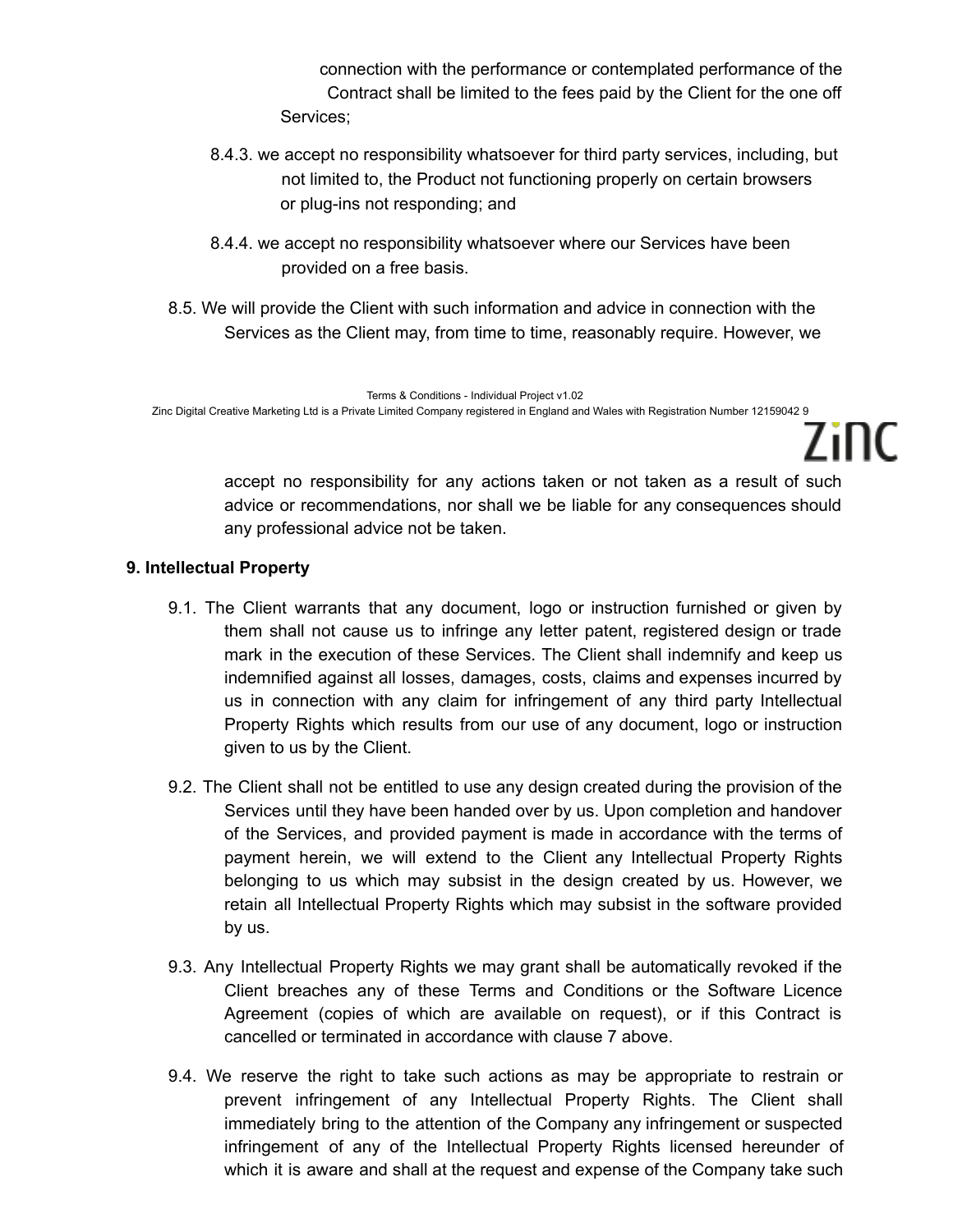connection with the performance or contemplated performance of the Contract shall be limited to the fees paid by the Client for the one off Services;

- 8.4.3. we accept no responsibility whatsoever for third party services, including, but not limited to, the Product not functioning properly on certain browsers or plug-ins not responding; and
- 8.4.4. we accept no responsibility whatsoever where our Services have been provided on a free basis.
- 8.5. We will provide the Client with such information and advice in connection with the Services as the Client may, from time to time, reasonably require. However, we

Terms & Conditions - Individual Project v1.02 Zinc Digital Creative Marketing Ltd is a Private Limited Company registered in England and Wales with Registration Number 12159042 9

> accept no responsibility for any actions taken or not taken as a result of such advice or recommendations, nor shall we be liable for any consequences should any professional advice not be taken.

7inc

# **9. Intellectual Property**

- 9.1. The Client warrants that any document, logo or instruction furnished or given by them shall not cause us to infringe any letter patent, registered design or trade mark in the execution of these Services. The Client shall indemnify and keep us indemnified against all losses, damages, costs, claims and expenses incurred by us in connection with any claim for infringement of any third party Intellectual Property Rights which results from our use of any document, logo or instruction given to us by the Client.
- 9.2. The Client shall not be entitled to use any design created during the provision of the Services until they have been handed over by us. Upon completion and handover of the Services, and provided payment is made in accordance with the terms of payment herein, we will extend to the Client any Intellectual Property Rights belonging to us which may subsist in the design created by us. However, we retain all Intellectual Property Rights which may subsist in the software provided by us.
- 9.3. Any Intellectual Property Rights we may grant shall be automatically revoked if the Client breaches any of these Terms and Conditions or the Software Licence Agreement (copies of which are available on request), or if this Contract is cancelled or terminated in accordance with clause 7 above.
- 9.4. We reserve the right to take such actions as may be appropriate to restrain or prevent infringement of any Intellectual Property Rights. The Client shall immediately bring to the attention of the Company any infringement or suspected infringement of any of the Intellectual Property Rights licensed hereunder of which it is aware and shall at the request and expense of the Company take such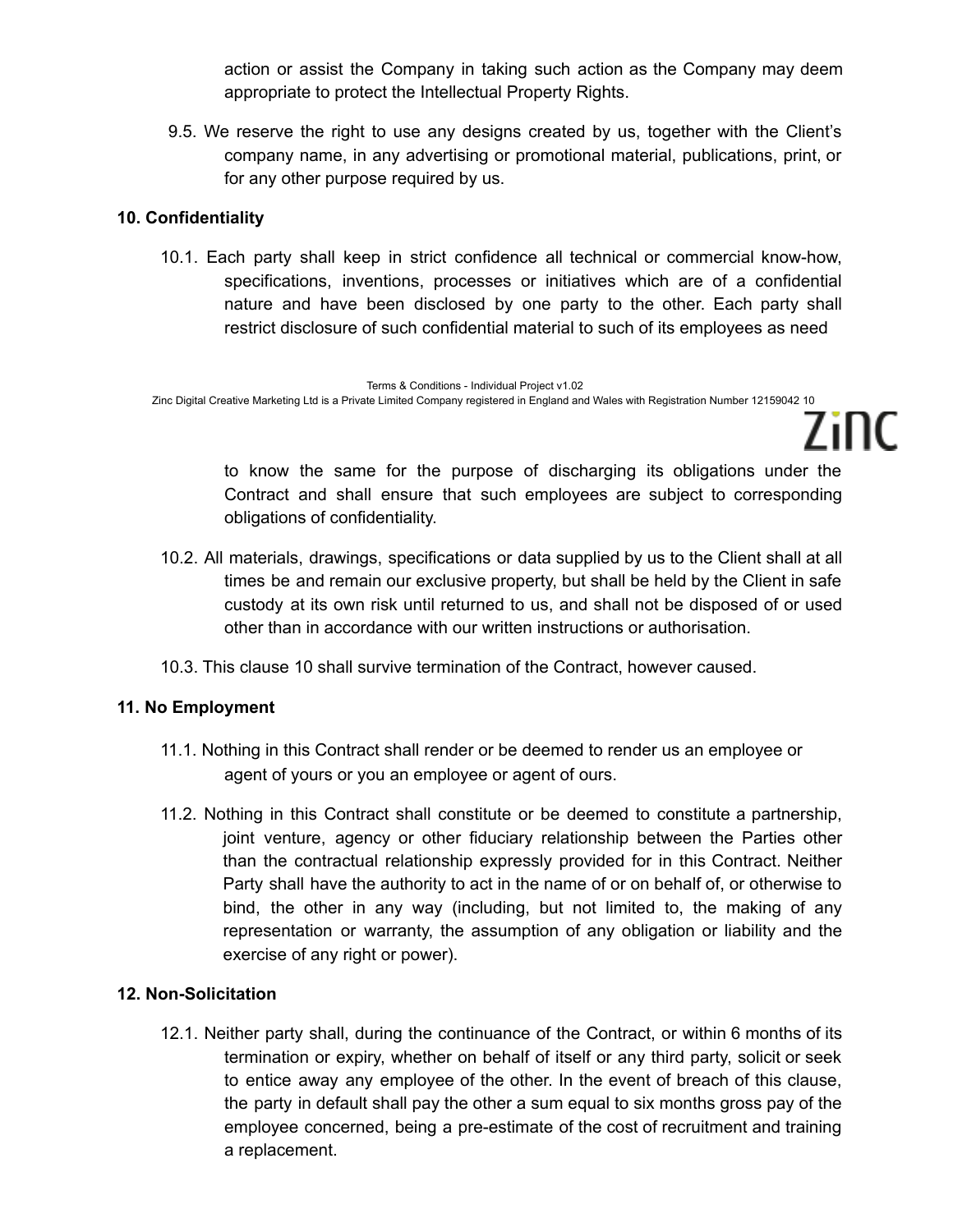action or assist the Company in taking such action as the Company may deem appropriate to protect the Intellectual Property Rights.

9.5. We reserve the right to use any designs created by us, together with the Client's company name, in any advertising or promotional material, publications, print, or for any other purpose required by us.

# **10. Confidentiality**

10.1. Each party shall keep in strict confidence all technical or commercial know-how, specifications, inventions, processes or initiatives which are of a confidential nature and have been disclosed by one party to the other. Each party shall restrict disclosure of such confidential material to such of its employees as need

Terms & Conditions - Individual Project v1.02 Zinc Digital Creative Marketing Ltd is a Private Limited Company registered in England and Wales with Registration Number 12159042 10

> to know the same for the purpose of discharging its obligations under the Contract and shall ensure that such employees are subject to corresponding obligations of confidentiality.

7inc

- 10.2. All materials, drawings, specifications or data supplied by us to the Client shall at all times be and remain our exclusive property, but shall be held by the Client in safe custody at its own risk until returned to us, and shall not be disposed of or used other than in accordance with our written instructions or authorisation.
- 10.3. This clause 10 shall survive termination of the Contract, however caused.

# **11. No Employment**

- 11.1. Nothing in this Contract shall render or be deemed to render us an employee or agent of yours or you an employee or agent of ours.
- 11.2. Nothing in this Contract shall constitute or be deemed to constitute a partnership, joint venture, agency or other fiduciary relationship between the Parties other than the contractual relationship expressly provided for in this Contract. Neither Party shall have the authority to act in the name of or on behalf of, or otherwise to bind, the other in any way (including, but not limited to, the making of any representation or warranty, the assumption of any obligation or liability and the exercise of any right or power).

# **12. Non-Solicitation**

12.1. Neither party shall, during the continuance of the Contract, or within 6 months of its termination or expiry, whether on behalf of itself or any third party, solicit or seek to entice away any employee of the other. In the event of breach of this clause, the party in default shall pay the other a sum equal to six months gross pay of the employee concerned, being a pre-estimate of the cost of recruitment and training a replacement.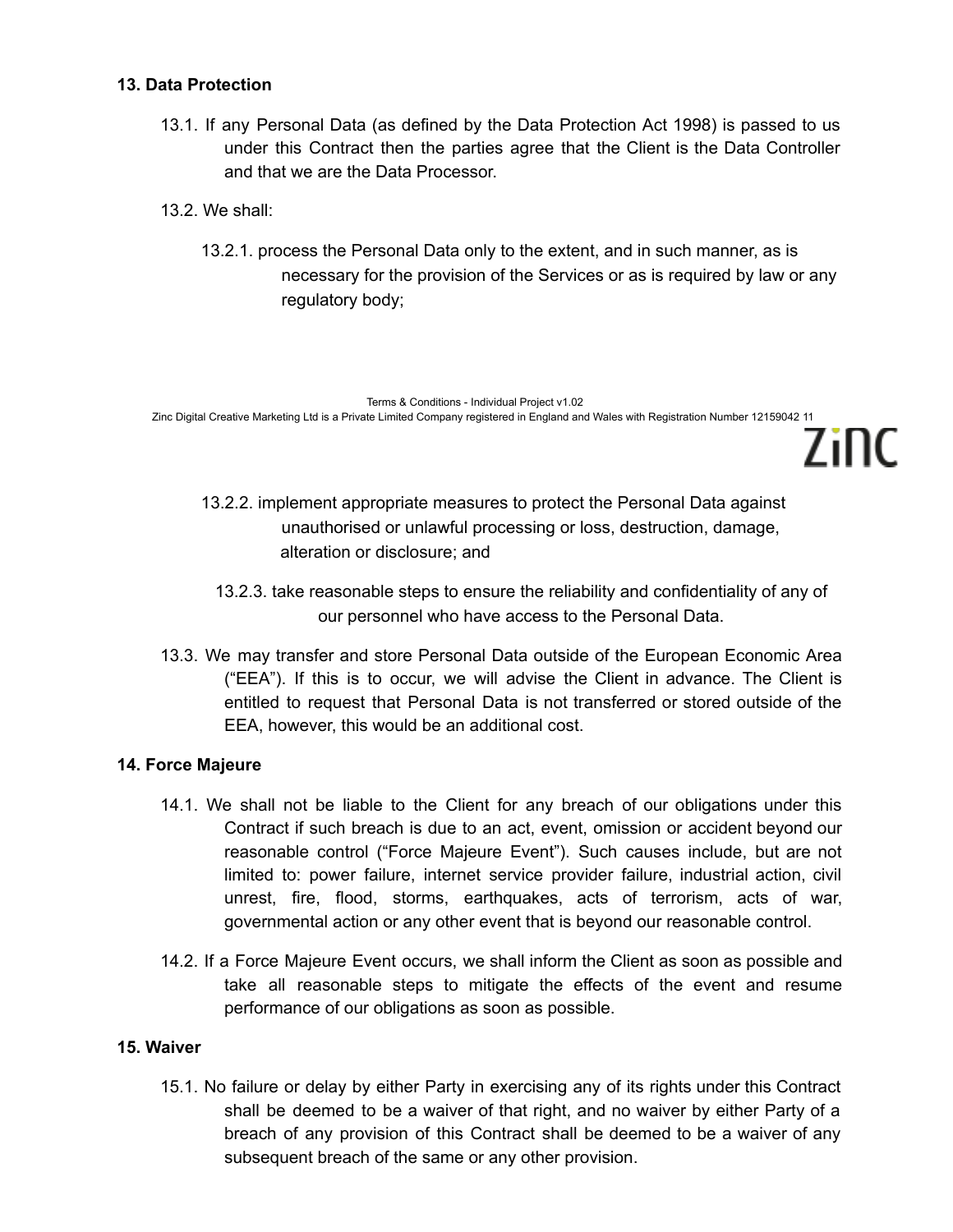## **13. Data Protection**

- 13.1. If any Personal Data (as defined by the Data Protection Act 1998) is passed to us under this Contract then the parties agree that the Client is the Data Controller and that we are the Data Processor.
- 13.2. We shall:
	- 13.2.1. process the Personal Data only to the extent, and in such manner, as is necessary for the provision of the Services or as is required by law or any regulatory body;

Terms & Conditions - Individual Project v1.02 Zinc Digital Creative Marketing Ltd is a Private Limited Company registered in England and Wales with Registration Number 12159042 11 7inc

- 13.2.2. implement appropriate measures to protect the Personal Data against unauthorised or unlawful processing or loss, destruction, damage, alteration or disclosure; and
	- 13.2.3. take reasonable steps to ensure the reliability and confidentiality of any of our personnel who have access to the Personal Data.
- 13.3. We may transfer and store Personal Data outside of the European Economic Area ("EEA"). If this is to occur, we will advise the Client in advance. The Client is entitled to request that Personal Data is not transferred or stored outside of the EEA, however, this would be an additional cost.

## **14. Force Majeure**

- 14.1. We shall not be liable to the Client for any breach of our obligations under this Contract if such breach is due to an act, event, omission or accident beyond our reasonable control ("Force Majeure Event"). Such causes include, but are not limited to: power failure, internet service provider failure, industrial action, civil unrest, fire, flood, storms, earthquakes, acts of terrorism, acts of war, governmental action or any other event that is beyond our reasonable control.
- 14.2. If a Force Majeure Event occurs, we shall inform the Client as soon as possible and take all reasonable steps to mitigate the effects of the event and resume performance of our obligations as soon as possible.

#### **15. Waiver**

15.1. No failure or delay by either Party in exercising any of its rights under this Contract shall be deemed to be a waiver of that right, and no waiver by either Party of a breach of any provision of this Contract shall be deemed to be a waiver of any subsequent breach of the same or any other provision.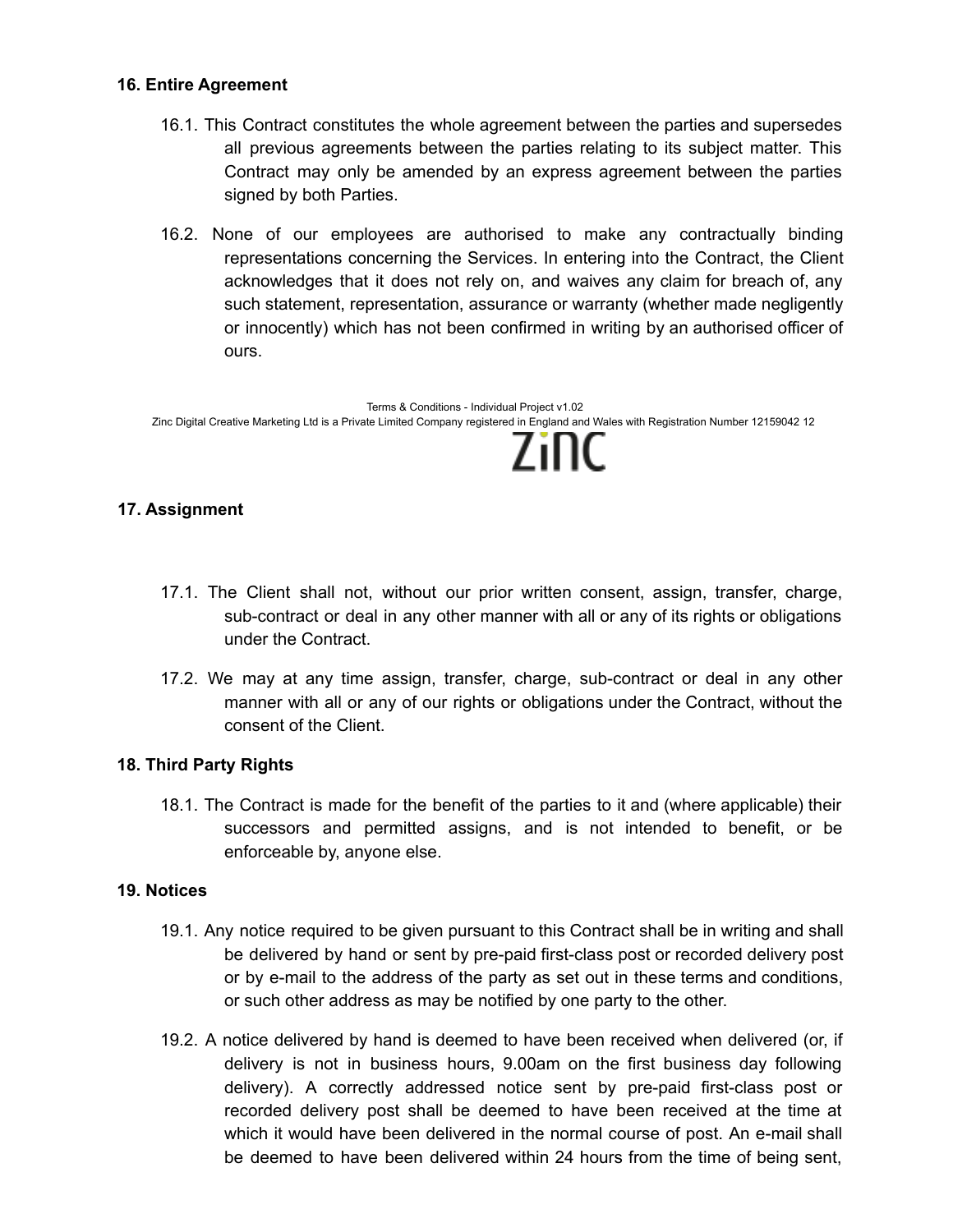#### **16. Entire Agreement**

- 16.1. This Contract constitutes the whole agreement between the parties and supersedes all previous agreements between the parties relating to its subject matter. This Contract may only be amended by an express agreement between the parties signed by both Parties.
- 16.2. None of our employees are authorised to make any contractually binding representations concerning the Services. In entering into the Contract, the Client acknowledges that it does not rely on, and waives any claim for breach of, any such statement, representation, assurance or warranty (whether made negligently or innocently) which has not been confirmed in writing by an authorised officer of ours.

Terms & Conditions - Individual Project v1.02 Zinc Digital Creative Marketing Ltd is a Private Limited Company registered in England and Wales with Registration Number 12159042 12 7inc

# **17. Assignment**

- 17.1. The Client shall not, without our prior written consent, assign, transfer, charge, sub-contract or deal in any other manner with all or any of its rights or obligations under the Contract.
- 17.2. We may at any time assign, transfer, charge, sub-contract or deal in any other manner with all or any of our rights or obligations under the Contract, without the consent of the Client.

## **18. Third Party Rights**

18.1. The Contract is made for the benefit of the parties to it and (where applicable) their successors and permitted assigns, and is not intended to benefit, or be enforceable by, anyone else.

## **19. Notices**

- 19.1. Any notice required to be given pursuant to this Contract shall be in writing and shall be delivered by hand or sent by pre-paid first-class post or recorded delivery post or by e-mail to the address of the party as set out in these terms and conditions, or such other address as may be notified by one party to the other.
- 19.2. A notice delivered by hand is deemed to have been received when delivered (or, if delivery is not in business hours, 9.00am on the first business day following delivery). A correctly addressed notice sent by pre-paid first-class post or recorded delivery post shall be deemed to have been received at the time at which it would have been delivered in the normal course of post. An e-mail shall be deemed to have been delivered within 24 hours from the time of being sent,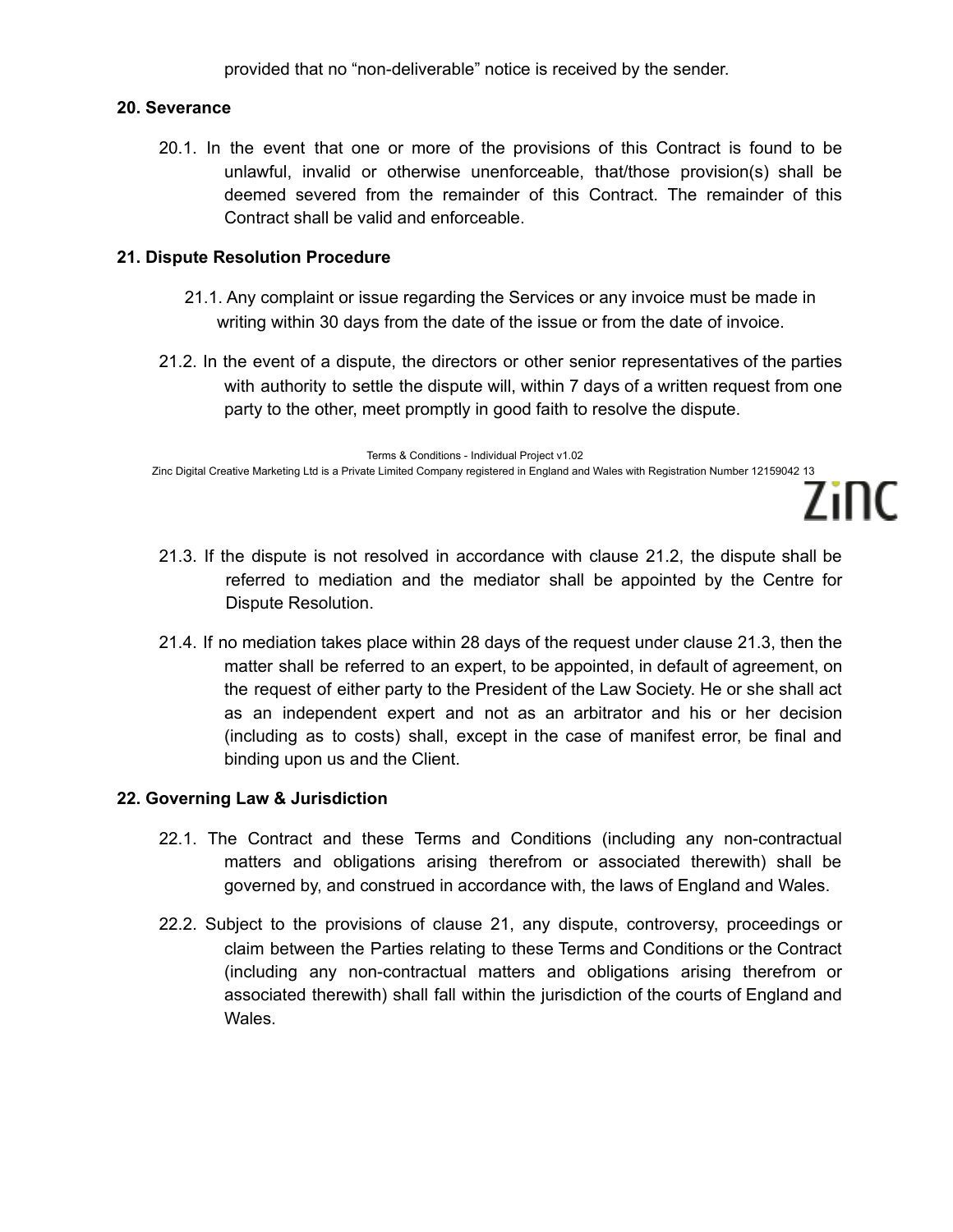provided that no "non-deliverable" notice is received by the sender.

#### **20. Severance**

20.1. In the event that one or more of the provisions of this Contract is found to be unlawful, invalid or otherwise unenforceable, that/those provision(s) shall be deemed severed from the remainder of this Contract. The remainder of this Contract shall be valid and enforceable.

## **21. Dispute Resolution Procedure**

- 21.1. Any complaint or issue regarding the Services or any invoice must be made in writing within 30 days from the date of the issue or from the date of invoice.
- 21.2. In the event of a dispute, the directors or other senior representatives of the parties with authority to settle the dispute will, within 7 days of a written request from one party to the other, meet promptly in good faith to resolve the dispute.

Terms & Conditions - Individual Project v1.02 Zinc Digital Creative Marketing Ltd is a Private Limited Company registered in England and Wales with Registration Number 12159042 13

21.3. If the dispute is not resolved in accordance with clause 21.2, the dispute shall be referred to mediation and the mediator shall be appointed by the Centre for Dispute Resolution.

Zinc

21.4. If no mediation takes place within 28 days of the request under clause 21.3, then the matter shall be referred to an expert, to be appointed, in default of agreement, on the request of either party to the President of the Law Society. He or she shall act as an independent expert and not as an arbitrator and his or her decision (including as to costs) shall, except in the case of manifest error, be final and binding upon us and the Client.

## **22. Governing Law & Jurisdiction**

- 22.1. The Contract and these Terms and Conditions (including any non-contractual matters and obligations arising therefrom or associated therewith) shall be governed by, and construed in accordance with, the laws of England and Wales.
- 22.2. Subject to the provisions of clause 21, any dispute, controversy, proceedings or claim between the Parties relating to these Terms and Conditions or the Contract (including any non-contractual matters and obligations arising therefrom or associated therewith) shall fall within the jurisdiction of the courts of England and Wales.